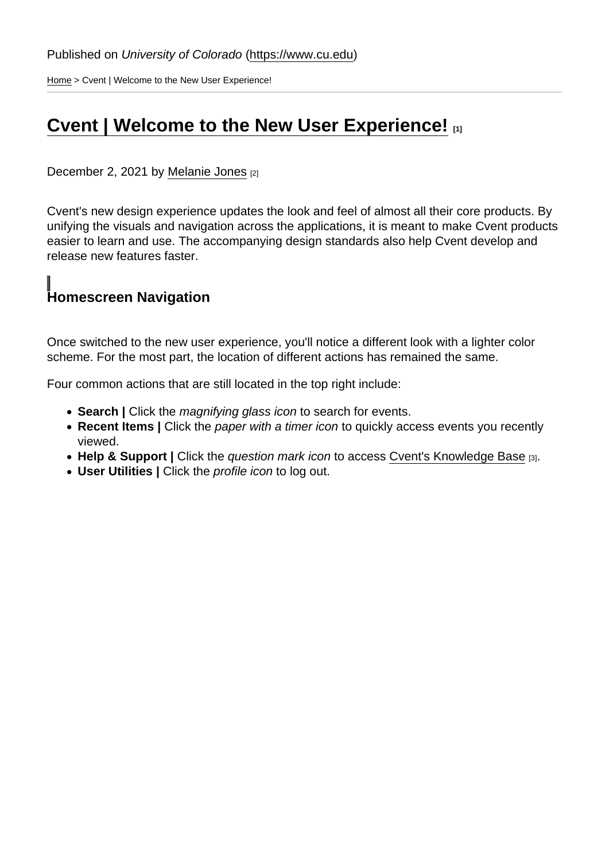[Home](https://www.cu.edu/) > Cvent | Welcome to the New User Experience!

### [Cvent | Welcome to the New User Experience!](https://www.cu.edu/blog/ecomm-wiki/cvent-welcome-new-user-experience) [1]

December 2, 2021 by [Melanie Jones](https://www.cu.edu/blog/ecomm-wiki/author/39) [2]

Cvent's new design experience updates the look and feel of almost all their core products. By unifying the visuals and navigation across the applications, it is meant to make Cvent products easier to learn and use. The accompanying design standards also help Cvent develop and release new features faster.

Homescreen Navigation

Once switched to the new user experience, you'll notice a different look with a lighter color scheme. For the most part, the location of different actions has remained the same.

Four common actions that are still located in the top right include:

- Search | Click the magnifying glass icon to search for events.
- Recent Items | Click the paper with a timer icon to quickly access events you recently viewed.
- Help & Support | Click the question mark icon to access [Cvent's Knowledge Base](https://www.cu.edu/blog/ecomm-wiki/cvent-support-and-resources) [3].
- User Utilities | Click the profile icon to log out.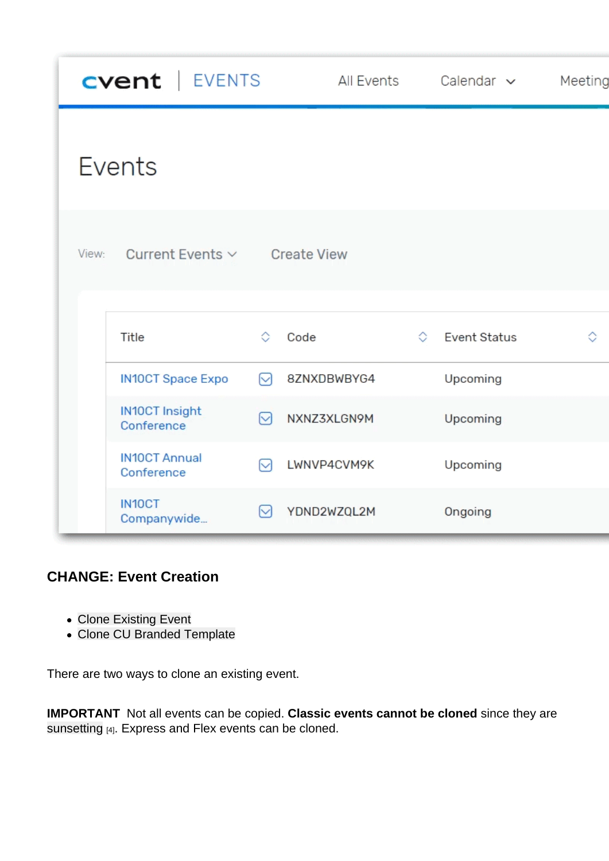### CHANGE: Event Creation

- Clone Existing Event
- Clone CU Branded Template

There are two ways to clone an existing event.

IMPORTANT Not all events can be copied. Classic events cannot be cloned since they are [sunsetting](https://www.cu.edu/blog/ecomm-wiki/cvent-classic-sunsets-2021) [4]. Express and Flex events can be cloned.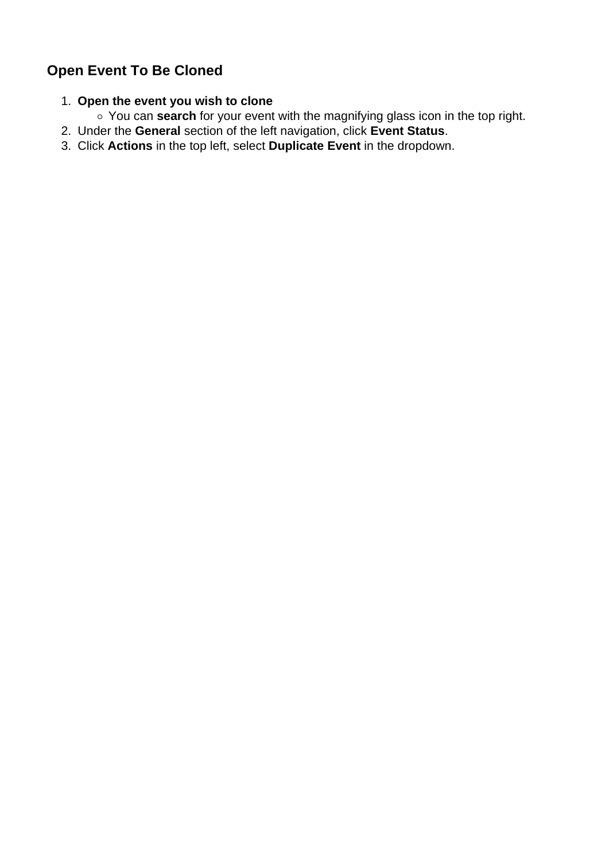### **Open Event To Be Cloned**

### 1. **Open the event you wish to clone**

- You can **search** for your event with the magnifying glass icon in the top right.
- 2. Under the **General** section of the left navigation, click **Event Status**.
- 3. Click **Actions** in the top left, select **Duplicate Event** in the dropdown.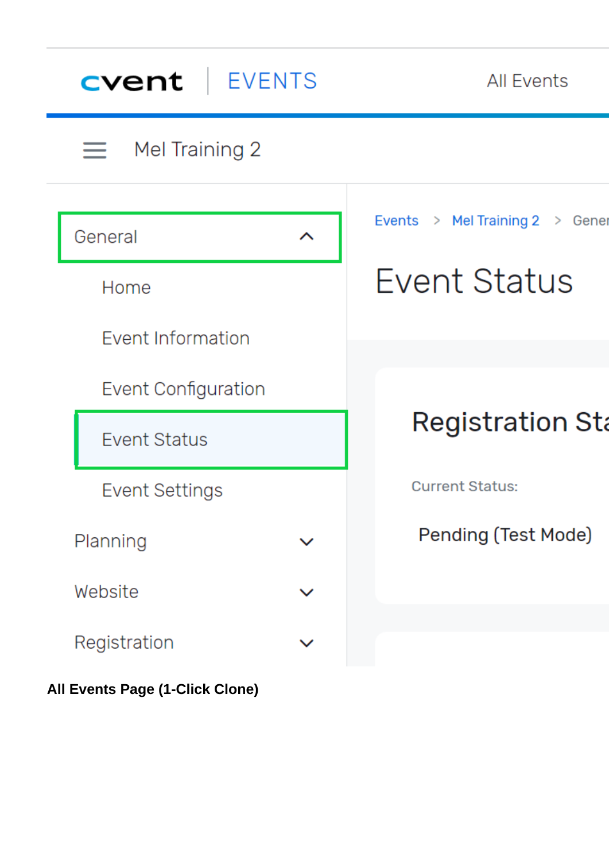| cvent<br>  EVENTS          |   | <b>All Events</b>              |
|----------------------------|---|--------------------------------|
| $\equiv$ Mel Training 2    |   |                                |
| General                    | ᄉ | Events > Mel Training 2 > Gene |
| Home                       |   | <b>Event Status</b>            |
| <b>Event Information</b>   |   |                                |
| <b>Event Configuration</b> |   |                                |
| <b>Event Status</b>        |   | <b>Registration St</b>         |
| Event Settings             |   | <b>Current Status:</b>         |
| Planning                   |   | Pending (Test Mode)            |
| Website                    |   |                                |
| Registration               |   |                                |

**All Events Page (1-Click Clone)**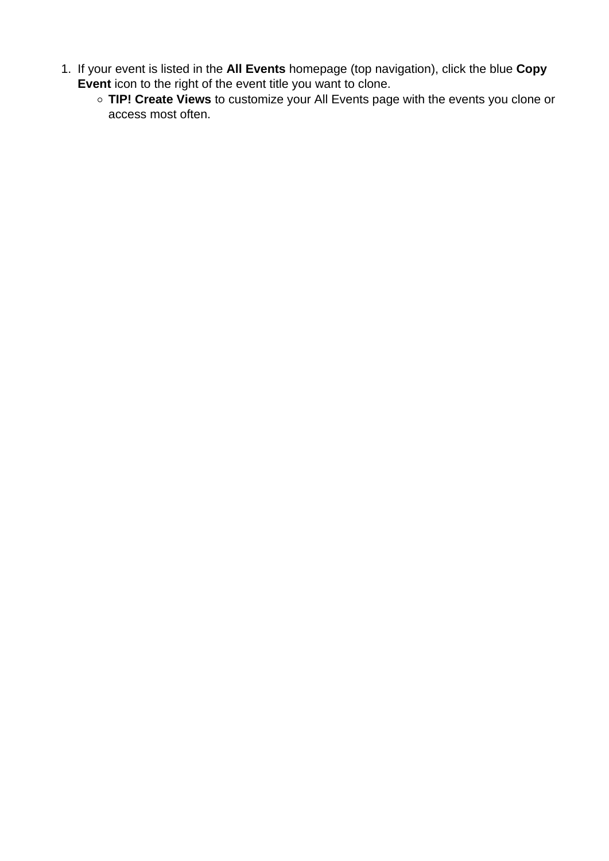- 1. If your event is listed in the **All Events** homepage (top navigation), click the blue **Copy Event** icon to the right of the event title you want to clone.
	- **TIP! Create Views** to customize your All Events page with the events you clone or access most often.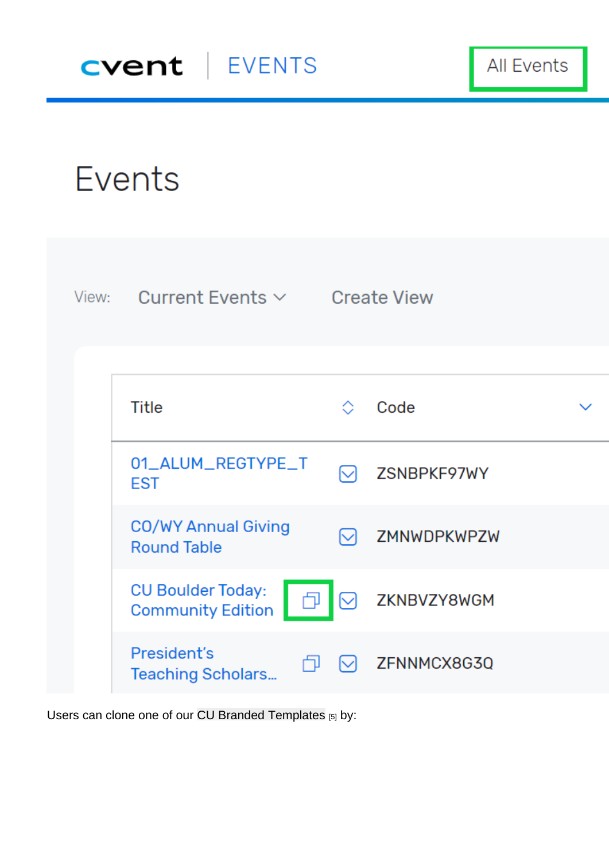Users can clone one of our [CU Branded Templates](https://www.cu.edu/blog/ecomm-wiki/branded-email-templates) [5] by: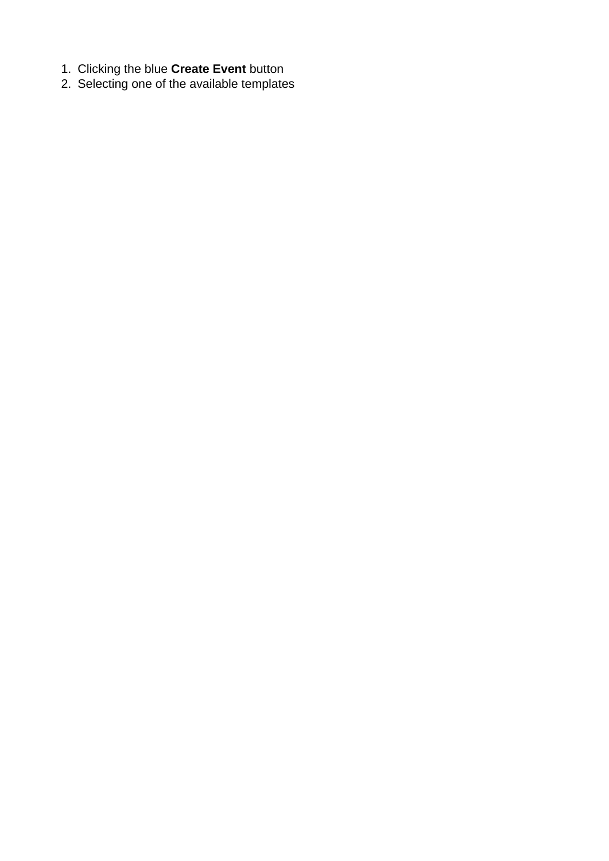- 1. Clicking the blue **Create Event** button
- 2. Selecting one of the available templates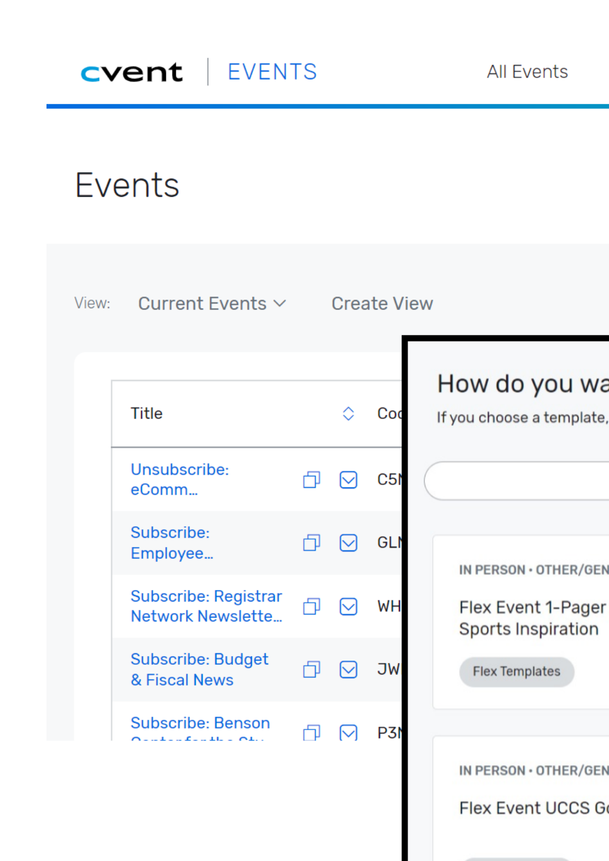# Events

| View: | Current Events $\vee$                                                                                                                             |    | <b>Create View</b> |                                                 |
|-------|---------------------------------------------------------------------------------------------------------------------------------------------------|----|--------------------|-------------------------------------------------|
|       | <b>Title</b>                                                                                                                                      |    | Cod                | How do you wa<br>If you choose a template,      |
|       | Unsubscribe:<br>eComm                                                                                                                             |    | C51                |                                                 |
|       | Subscribe:<br>Employee                                                                                                                            |    | GLI                | IN PERSON · OTHER/GEN                           |
|       | Subscribe: Registrar<br>Network Newslette                                                                                                         | ⊣] | <b>WH</b>          | Flex Event 1-Pager<br><b>Sports Inspiration</b> |
|       | <b>Subscribe: Budget</b><br>& Fiscal News                                                                                                         |    | <b>JW</b>          | <b>Flex Templates</b>                           |
|       | <b>Subscribe: Benson</b><br>$\mathbf{L} \mathbf{L} = \mathbf{L} \mathbf{L} + \mathbf{L} \mathbf{L} \mathbf{L} + \mathbf{L} \mathbf{L} \mathbf{L}$ | 门  | P3N                | IN PERSON · OTHER/GEN                           |

Flex Event UCCS G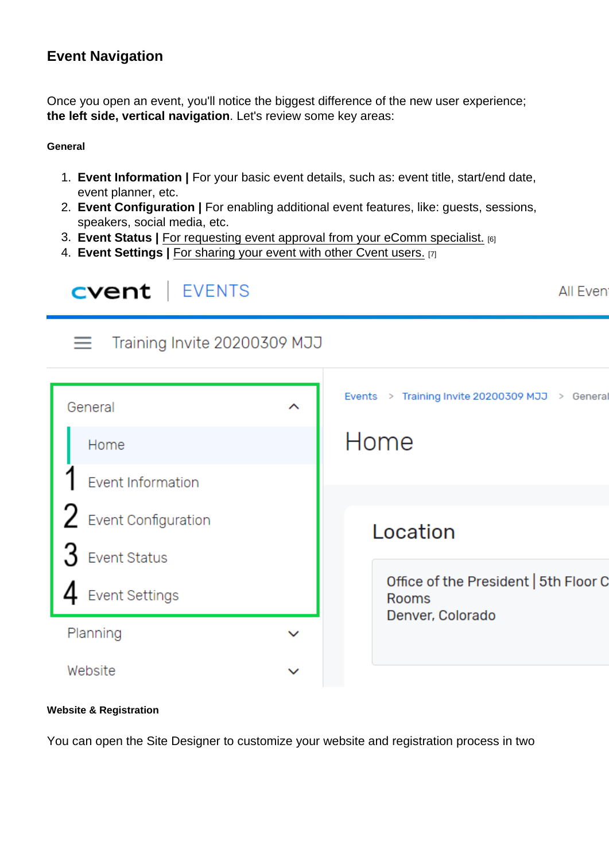### Event Navigation

Once you open an event, you'll notice the biggest difference of the new user experience; the left side, vertical navigation . Let's review some key areas:

**General** 

- 1. Event Information | For your basic event details, such as: event title, start/end date, event planner, etc.
- 2. Event Configuration | For enabling additional event features, like: guests, sessions, speakers, social media, etc.
- 3. Event Status | [For requesting event approval from your eComm specialist.](https://www.cu.edu/blog/ecomm-wiki/cvent-event-approval-launch) [6]
- 4. Event Settings | [For sharing your event with other Cvent users.](https://www.cu.edu/blog/ecomm-wiki/cvent-share-your-event-other-users) [7]

Website & Registration

You can open the Site Designer to customize your website and registration process in two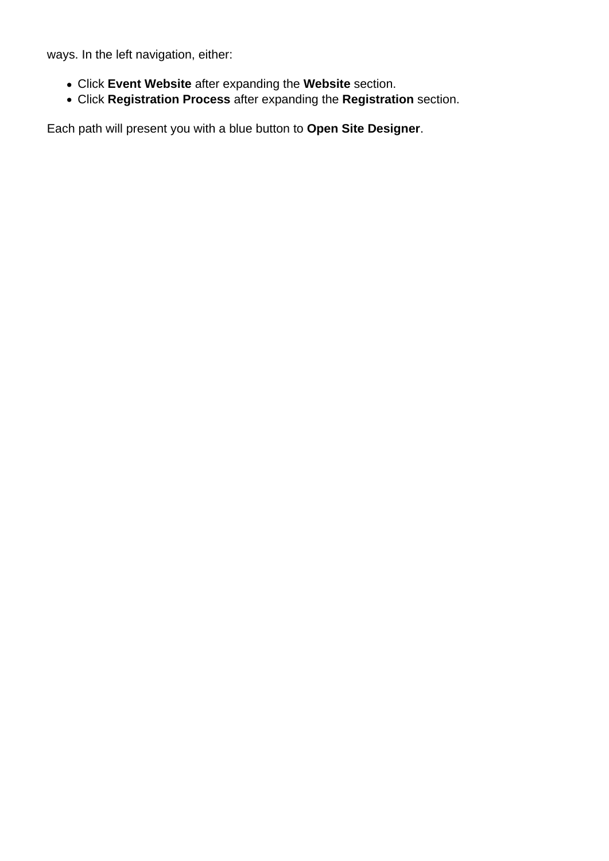ways. In the left navigation, either:

- Click **Event Website** after expanding the **Website** section.
- Click **Registration Process** after expanding the **Registration** section.

Each path will present you with a blue button to **Open Site Designer**.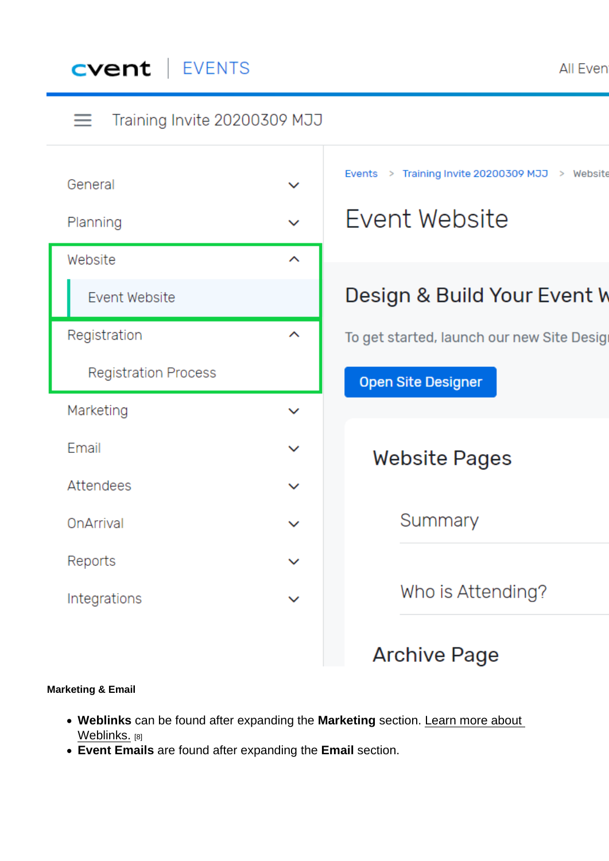Marketing & Email

- Weblinks can be found after expanding the Marketing section. [Learn more about](https://www.cu.edu/blog/ecomm-wiki/cvent-weblinks)  [Weblinks.](https://www.cu.edu/blog/ecomm-wiki/cvent-weblinks) [8]
- Event Emails are found after expanding the Email section.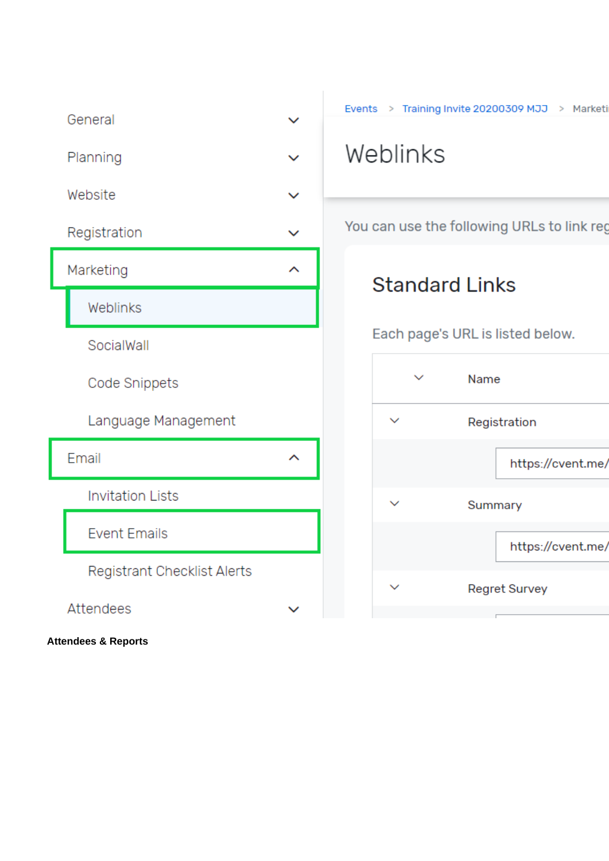|                                     | General                     |              | Events > Training Invite 20200309 MJJ > Marketi |
|-------------------------------------|-----------------------------|--------------|-------------------------------------------------|
| Planning<br>Website<br>Registration |                             | $\checkmark$ | Weblinks                                        |
|                                     |                             | $\checkmark$ |                                                 |
|                                     |                             | $\checkmark$ | You can use the following URLs to link reg      |
|                                     | Marketing                   | ∼            | <b>Standard Links</b>                           |
|                                     | Weblinks                    |              |                                                 |
|                                     | SocialWall                  |              | Each page's URL is listed below.                |
|                                     | <b>Code Snippets</b>        |              | $\checkmark$<br>Name                            |
|                                     | Language Management         |              | $\checkmark$<br>Registration                    |
|                                     | Email                       | ᄉ            | https://cvent.me/                               |
|                                     | <b>Invitation Lists</b>     |              | $\checkmark$<br>Summary                         |
|                                     | <b>Event Emails</b>         |              | https://cvent.me/                               |
|                                     | Registrant Checklist Alerts |              |                                                 |
|                                     | Attendees                   |              | <b>Regret Survey</b>                            |

**Attendees & Reports**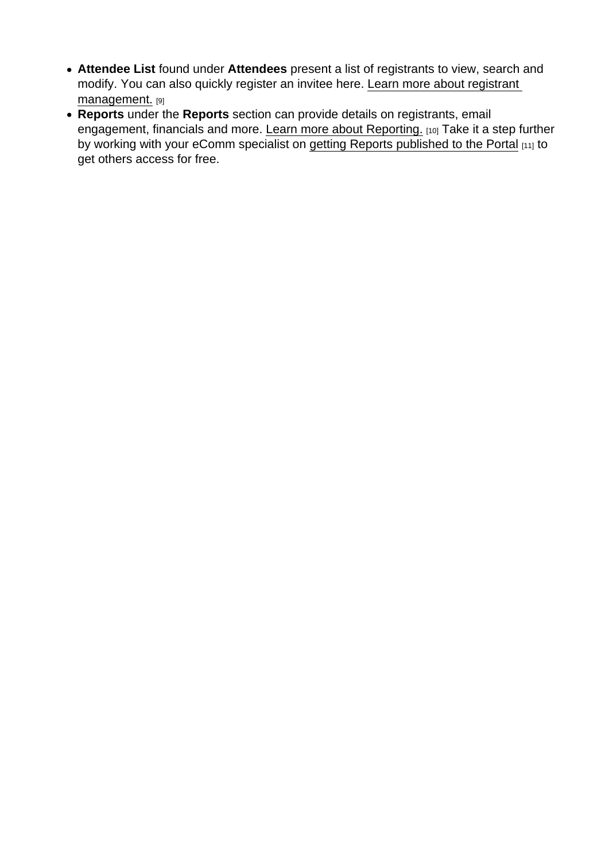- Attendee List found under Attendees present a list of registrants to view, search and modify. You can also quickly register an invitee here. [Learn more about registrant](https://www.cu.edu/blog/ecomm-wiki/cvent-registrant-management)  [management.](https://www.cu.edu/blog/ecomm-wiki/cvent-registrant-management) [9]
- Reports under the Reports section can provide details on registrants, email engagement, financials and more. [Learn more about Reporting.](https://www.cu.edu/blog/ecomm-wiki/cvent-reporting) [10] Take it a step further by working with your eComm specialist on [getting Reports published to the Portal](https://www.cu.edu/blog/ecomm-wiki/cvent-portal) [11] to get others access for free.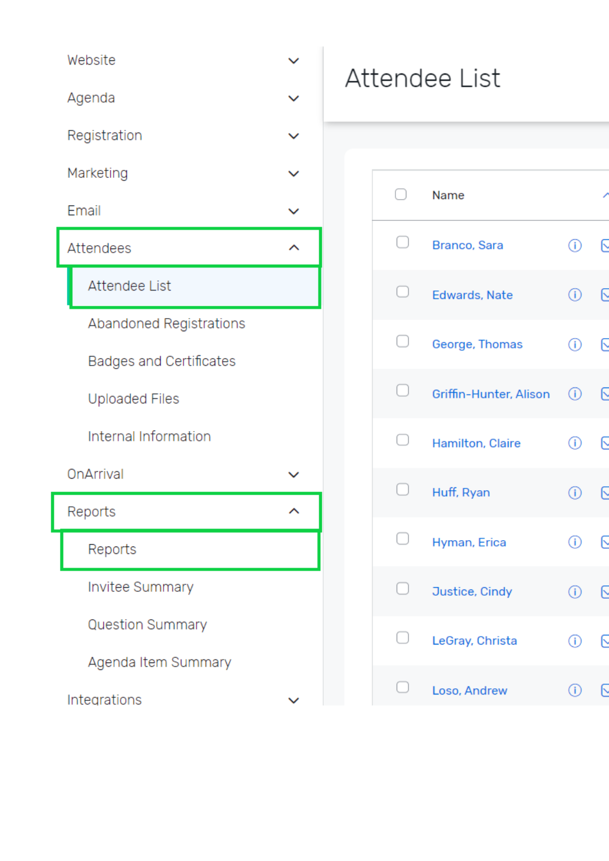| Website                 |  |
|-------------------------|--|
| Agenda                  |  |
| Registration            |  |
| Marketing               |  |
| Email                   |  |
| <b>Attendees</b>        |  |
| <b>Attendee List</b>    |  |
| Abandoned Registrations |  |
| Badges and Certificates |  |
| <b>Uploaded Files</b>   |  |
| Internal Information    |  |
| OnArrival               |  |
| Reports                 |  |
| Reports                 |  |
| Invitee Summary         |  |
| <b>Question Summary</b> |  |
| Agenda Item Summary     |  |
| Integrations            |  |

## Attendee List

| ∩                | Name                   |         |   |
|------------------|------------------------|---------|---|
| 0                | Branco, Sara           | ⊕       | Q |
| $\hfill \square$ | Edwards, Nate          | ⊙       | G |
| 0                | George, Thomas         | ⊕       | G |
| 0                | Griffin-Hunter, Alison | $\odot$ | Q |
| $\Box$           | Hamilton, Claire       | ⊙       | G |
| $\Box$           | Huff, Ryan             | ⊙       | G |
| 0                | Hyman, Erica           | ⊙       | G |
|                  | Justice, Cindy         | ⊙       | Ŀ |
|                  | LeGray, Christa        | ⊕       | Ŀ |
|                  | Loso, Andrew           | ⊙       | G |